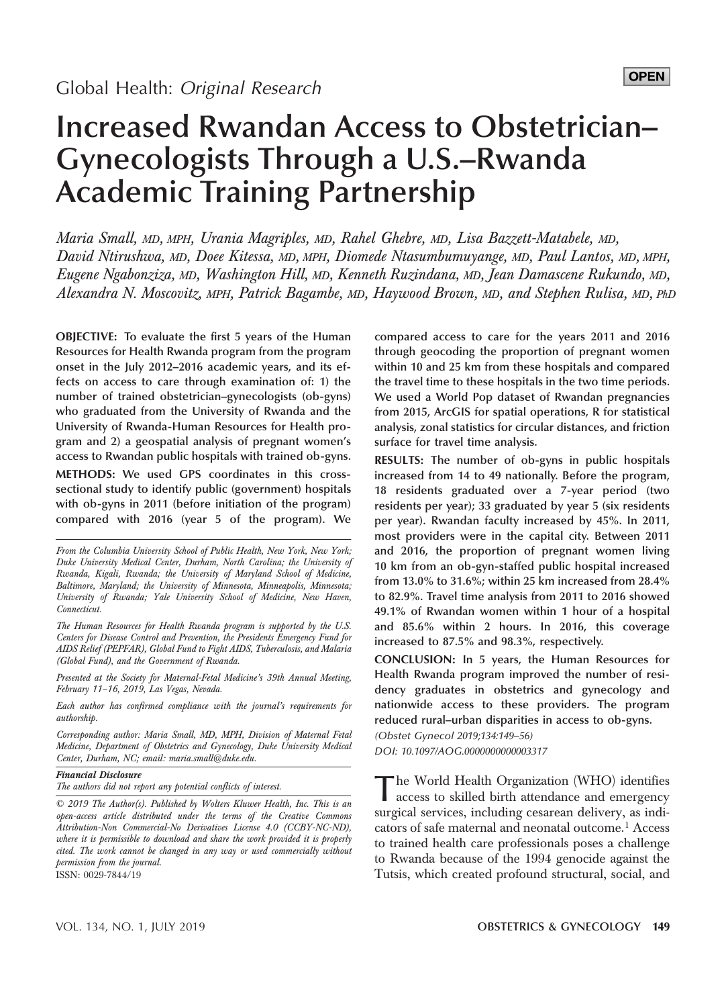# Increased Rwandan Access to Obstetrician– Gynecologists Through a U.S.–Rwanda Academic Training Partnership

Maria Small, MD, MPH, Urania Magriples, MD, Rahel Ghebre, MD, Lisa Bazzett-Matabele, MD, David Ntirushwa, MD, Doee Kitessa, MD, MPH, Diomede Ntasumbumuyange, MD, Paul Lantos, MD, MPH, Eugene Ngabonziza, MD, Washington Hill, MD, Kenneth Ruzindana, MD, Jean Damascene Rukundo, MD, Alexandra N. Moscovitz, MPH, Patrick Bagambe, MD, Haywood Brown, MD, and Stephen Rulisa, MD, PhD

OBJECTIVE: To evaluate the first 5 years of the Human Resources for Health Rwanda program from the program onset in the July 2012–2016 academic years, and its effects on access to care through examination of: 1) the number of trained obstetrician–gynecologists (ob-gyns) who graduated from the University of Rwanda and the University of Rwanda-Human Resources for Health program and 2) a geospatial analysis of pregnant women's access to Rwandan public hospitals with trained ob-gyns. METHODS: We used GPS coordinates in this crosssectional study to identify public (government) hospitals with ob-gyns in 2011 (before initiation of the program) compared with 2016 (year 5 of the program). We

From the Columbia University School of Public Health, New York, New York; Duke University Medical Center, Durham, North Carolina; the University of Rwanda, Kigali, Rwanda; the University of Maryland School of Medicine, Baltimore, Maryland; the University of Minnesota, Minneapolis, Minnesota; University of Rwanda; Yale University School of Medicine, New Haven, Connecticut.

The Human Resources for Health Rwanda program is supported by the U.S. Centers for Disease Control and Prevention, the Presidents Emergency Fund for AIDS Relief (PEPFAR), Global Fund to Fight AIDS, Tuberculosis, and Malaria (Global Fund), and the Government of Rwanda.

Presented at the Society for Maternal-Fetal Medicine's 39th Annual Meeting, February 11–16, 2019, Las Vegas, Nevada.

Each author has confirmed compliance with the journal's requirements for authorship.

Corresponding author: Maria Small, MD, MPH, Division of Maternal Fetal Medicine, Department of Obstetrics and Gynecology, Duke University Medical Center, Durham, NC; email: maria.small@duke.edu.

#### Financial Disclosure

The authors did not report any potential conflicts of interest.

© 2019 The Author(s). Published by Wolters Kluwer Health, Inc. This is an open-access article distributed under the terms of the [Creative Commons](http://creativecommons.org/licenses/by-nc-nd/4.0/) [Attribution-Non Commercial-No Derivatives License 4.0 \(CCBY-NC-ND\)](http://creativecommons.org/licenses/by-nc-nd/4.0/), where it is permissible to download and share the work provided it is properly cited. The work cannot be changed in any way or used commercially without permission from the journal. ISSN: 0029-7844/19

compared access to care for the years 2011 and 2016 through geocoding the proportion of pregnant women within 10 and 25 km from these hospitals and compared the travel time to these hospitals in the two time periods. We used a World Pop dataset of Rwandan pregnancies from 2015, ArcGIS for spatial operations, R for statistical analysis, zonal statistics for circular distances, and friction surface for travel time analysis.

RESULTS: The number of ob-gyns in public hospitals increased from 14 to 49 nationally. Before the program, 18 residents graduated over a 7-year period (two residents per year); 33 graduated by year 5 (six residents per year). Rwandan faculty increased by 45%. In 2011, most providers were in the capital city. Between 2011 and 2016, the proportion of pregnant women living 10 km from an ob-gyn-staffed public hospital increased from 13.0% to 31.6%; within 25 km increased from 28.4% to 82.9%. Travel time analysis from 2011 to 2016 showed 49.1% of Rwandan women within 1 hour of a hospital and 85.6% within 2 hours. In 2016, this coverage increased to 87.5% and 98.3%, respectively.

CONCLUSION: In 5 years, the Human Resources for Health Rwanda program improved the number of residency graduates in obstetrics and gynecology and nationwide access to these providers. The program reduced rural–urban disparities in access to ob-gyns.

(Obstet Gynecol 2019;134:149–56) DOI: 10.1097/AOG.0000000000003317

The World Health Organization (WHO) identifies access to skilled birth attendance and emergency surgical services, including cesarean delivery, as indicators of safe maternal and neonatal outcome.<sup>1</sup> Access to trained health care professionals poses a challenge to Rwanda because of the 1994 genocide against the Tutsis, which created profound structural, social, and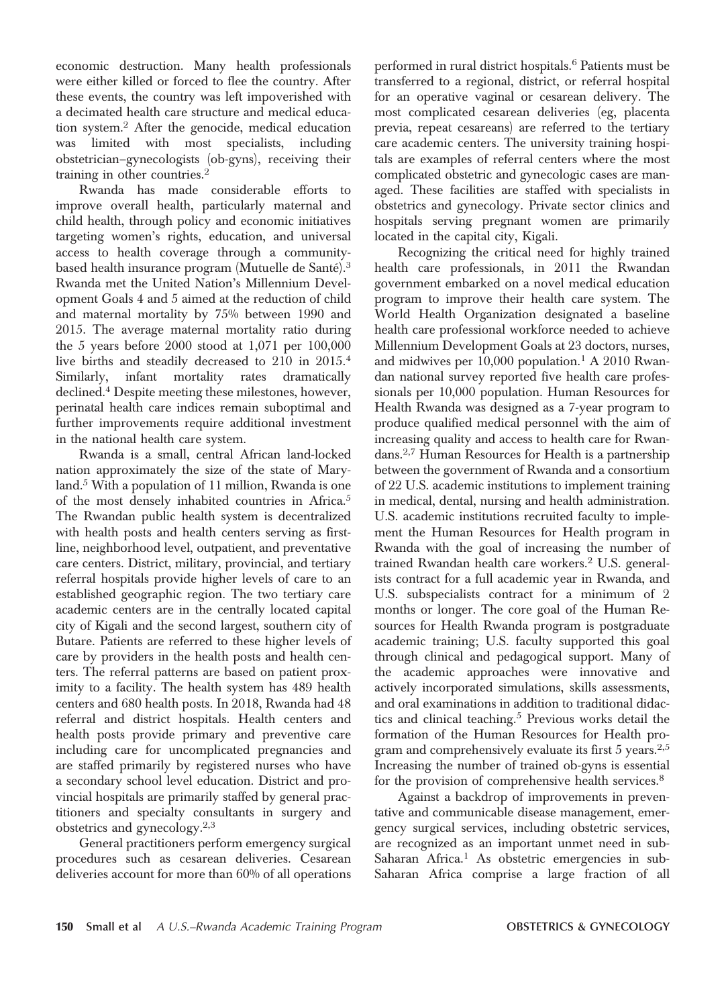economic destruction. Many health professionals were either killed or forced to flee the country. After these events, the country was left impoverished with a decimated health care structure and medical education system.2 After the genocide, medical education was limited with most specialists, including obstetrician–gynecologists (ob-gyns), receiving their training in other countries.<sup>2</sup>

Rwanda has made considerable efforts to improve overall health, particularly maternal and child health, through policy and economic initiatives targeting women's rights, education, and universal access to health coverage through a communitybased health insurance program (Mutuelle de Santé).<sup>3</sup> Rwanda met the United Nation's Millennium Development Goals 4 and 5 aimed at the reduction of child and maternal mortality by 75% between 1990 and 2015. The average maternal mortality ratio during the 5 years before 2000 stood at 1,071 per 100,000 live births and steadily decreased to 210 in 2015.<sup>4</sup> Similarly, infant mortality rates dramatically declined.<sup>4</sup> Despite meeting these milestones, however, perinatal health care indices remain suboptimal and further improvements require additional investment in the national health care system.

Rwanda is a small, central African land-locked nation approximately the size of the state of Maryland.<sup>5</sup> With a population of 11 million, Rwanda is one of the most densely inhabited countries in Africa.<sup>5</sup> The Rwandan public health system is decentralized with health posts and health centers serving as firstline, neighborhood level, outpatient, and preventative care centers. District, military, provincial, and tertiary referral hospitals provide higher levels of care to an established geographic region. The two tertiary care academic centers are in the centrally located capital city of Kigali and the second largest, southern city of Butare. Patients are referred to these higher levels of care by providers in the health posts and health centers. The referral patterns are based on patient proximity to a facility. The health system has 489 health centers and 680 health posts. In 2018, Rwanda had 48 referral and district hospitals. Health centers and health posts provide primary and preventive care including care for uncomplicated pregnancies and are staffed primarily by registered nurses who have a secondary school level education. District and provincial hospitals are primarily staffed by general practitioners and specialty consultants in surgery and obstetrics and gynecology.2,3

General practitioners perform emergency surgical procedures such as cesarean deliveries. Cesarean deliveries account for more than 60% of all operations

performed in rural district hospitals.<sup>6</sup> Patients must be transferred to a regional, district, or referral hospital for an operative vaginal or cesarean delivery. The most complicated cesarean deliveries (eg, placenta previa, repeat cesareans) are referred to the tertiary care academic centers. The university training hospitals are examples of referral centers where the most complicated obstetric and gynecologic cases are managed. These facilities are staffed with specialists in obstetrics and gynecology. Private sector clinics and hospitals serving pregnant women are primarily located in the capital city, Kigali.

Recognizing the critical need for highly trained health care professionals, in 2011 the Rwandan government embarked on a novel medical education program to improve their health care system. The World Health Organization designated a baseline health care professional workforce needed to achieve Millennium Development Goals at 23 doctors, nurses, and midwives per 10,000 population.<sup>1</sup> A 2010 Rwandan national survey reported five health care professionals per 10,000 population. Human Resources for Health Rwanda was designed as a 7-year program to produce qualified medical personnel with the aim of increasing quality and access to health care for Rwandans.2,7 Human Resources for Health is a partnership between the government of Rwanda and a consortium of 22 U.S. academic institutions to implement training in medical, dental, nursing and health administration. U.S. academic institutions recruited faculty to implement the Human Resources for Health program in Rwanda with the goal of increasing the number of trained Rwandan health care workers.<sup>2</sup> U.S. generalists contract for a full academic year in Rwanda, and U.S. subspecialists contract for a minimum of 2 months or longer. The core goal of the Human Resources for Health Rwanda program is postgraduate academic training; U.S. faculty supported this goal through clinical and pedagogical support. Many of the academic approaches were innovative and actively incorporated simulations, skills assessments, and oral examinations in addition to traditional didactics and clinical teaching.<sup>5</sup> Previous works detail the formation of the Human Resources for Health program and comprehensively evaluate its first  $5$  years.<sup>2,5</sup> Increasing the number of trained ob-gyns is essential for the provision of comprehensive health services.<sup>8</sup>

Against a backdrop of improvements in preventative and communicable disease management, emergency surgical services, including obstetric services, are recognized as an important unmet need in sub-Saharan Africa.<sup>1</sup> As obstetric emergencies in sub-Saharan Africa comprise a large fraction of all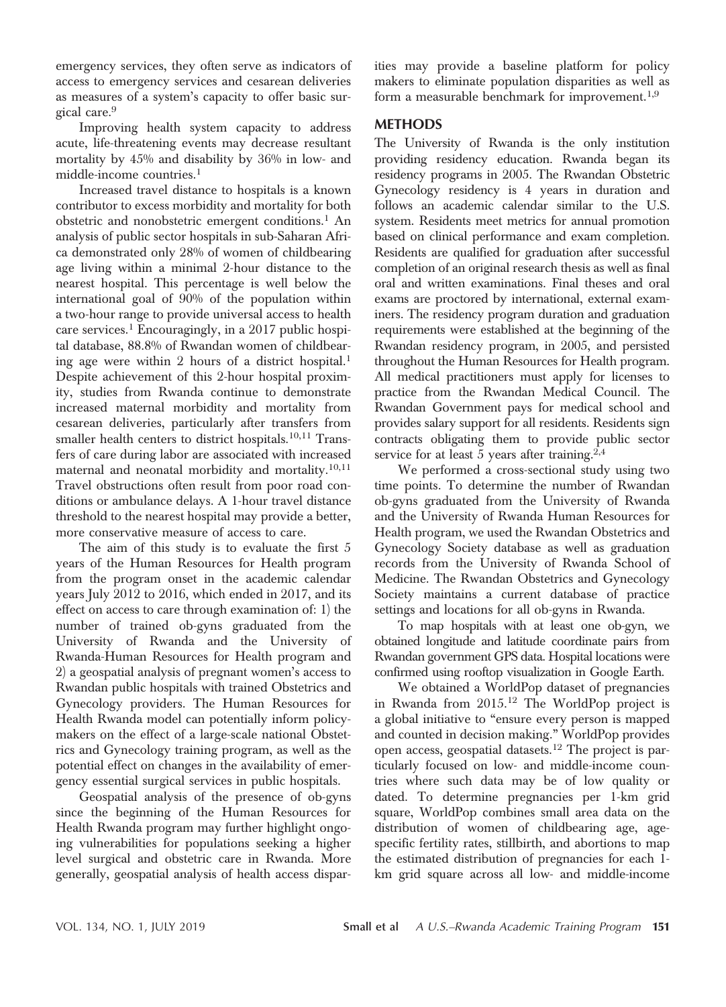emergency services, they often serve as indicators of access to emergency services and cesarean deliveries as measures of a system's capacity to offer basic surgical care.<sup>9</sup>

Improving health system capacity to address acute, life-threatening events may decrease resultant mortality by 45% and disability by 36% in low- and middle-income countries.1

Increased travel distance to hospitals is a known contributor to excess morbidity and mortality for both obstetric and nonobstetric emergent conditions.<sup>1</sup> An analysis of public sector hospitals in sub-Saharan Africa demonstrated only 28% of women of childbearing age living within a minimal 2-hour distance to the nearest hospital. This percentage is well below the international goal of 90% of the population within a two-hour range to provide universal access to health care services.<sup>1</sup> Encouragingly, in a 2017 public hospital database, 88.8% of Rwandan women of childbearing age were within 2 hours of a district hospital.<sup>1</sup> Despite achievement of this 2-hour hospital proximity, studies from Rwanda continue to demonstrate increased maternal morbidity and mortality from cesarean deliveries, particularly after transfers from smaller health centers to district hospitals.<sup>10,11</sup> Transfers of care during labor are associated with increased maternal and neonatal morbidity and mortality.10,11 Travel obstructions often result from poor road conditions or ambulance delays. A 1-hour travel distance threshold to the nearest hospital may provide a better, more conservative measure of access to care.

The aim of this study is to evaluate the first 5 years of the Human Resources for Health program from the program onset in the academic calendar years July 2012 to 2016, which ended in 2017, and its effect on access to care through examination of: 1) the number of trained ob-gyns graduated from the University of Rwanda and the University of Rwanda-Human Resources for Health program and 2) a geospatial analysis of pregnant women's access to Rwandan public hospitals with trained Obstetrics and Gynecology providers. The Human Resources for Health Rwanda model can potentially inform policymakers on the effect of a large-scale national Obstetrics and Gynecology training program, as well as the potential effect on changes in the availability of emergency essential surgical services in public hospitals.

Geospatial analysis of the presence of ob-gyns since the beginning of the Human Resources for Health Rwanda program may further highlight ongoing vulnerabilities for populations seeking a higher level surgical and obstetric care in Rwanda. More generally, geospatial analysis of health access disparities may provide a baseline platform for policy makers to eliminate population disparities as well as form a measurable benchmark for improvement.<sup>1,9</sup>

The University of Rwanda is the only institution providing residency education. Rwanda began its residency programs in 2005. The Rwandan Obstetric Gynecology residency is 4 years in duration and follows an academic calendar similar to the U.S. system. Residents meet metrics for annual promotion based on clinical performance and exam completion. Residents are qualified for graduation after successful completion of an original research thesis as well as final oral and written examinations. Final theses and oral exams are proctored by international, external examiners. The residency program duration and graduation requirements were established at the beginning of the Rwandan residency program, in 2005, and persisted throughout the Human Resources for Health program. All medical practitioners must apply for licenses to practice from the Rwandan Medical Council. The Rwandan Government pays for medical school and provides salary support for all residents. Residents sign contracts obligating them to provide public sector service for at least 5 years after training. $2,4$ 

We performed a cross-sectional study using two time points. To determine the number of Rwandan ob-gyns graduated from the University of Rwanda and the University of Rwanda Human Resources for Health program, we used the Rwandan Obstetrics and Gynecology Society database as well as graduation records from the University of Rwanda School of Medicine. The Rwandan Obstetrics and Gynecology Society maintains a current database of practice settings and locations for all ob-gyns in Rwanda.

To map hospitals with at least one ob-gyn, we obtained longitude and latitude coordinate pairs from Rwandan government GPS data. Hospital locations were confirmed using rooftop visualization in Google Earth.

We obtained a WorldPop dataset of pregnancies in Rwanda from 2015.<sup>12</sup> The WorldPop project is a global initiative to "ensure every person is mapped and counted in decision making." WorldPop provides open access, geospatial datasets.<sup>12</sup> The project is particularly focused on low- and middle-income countries where such data may be of low quality or dated. To determine pregnancies per 1-km grid square, WorldPop combines small area data on the distribution of women of childbearing age, agespecific fertility rates, stillbirth, and abortions to map the estimated distribution of pregnancies for each 1 km grid square across all low- and middle-income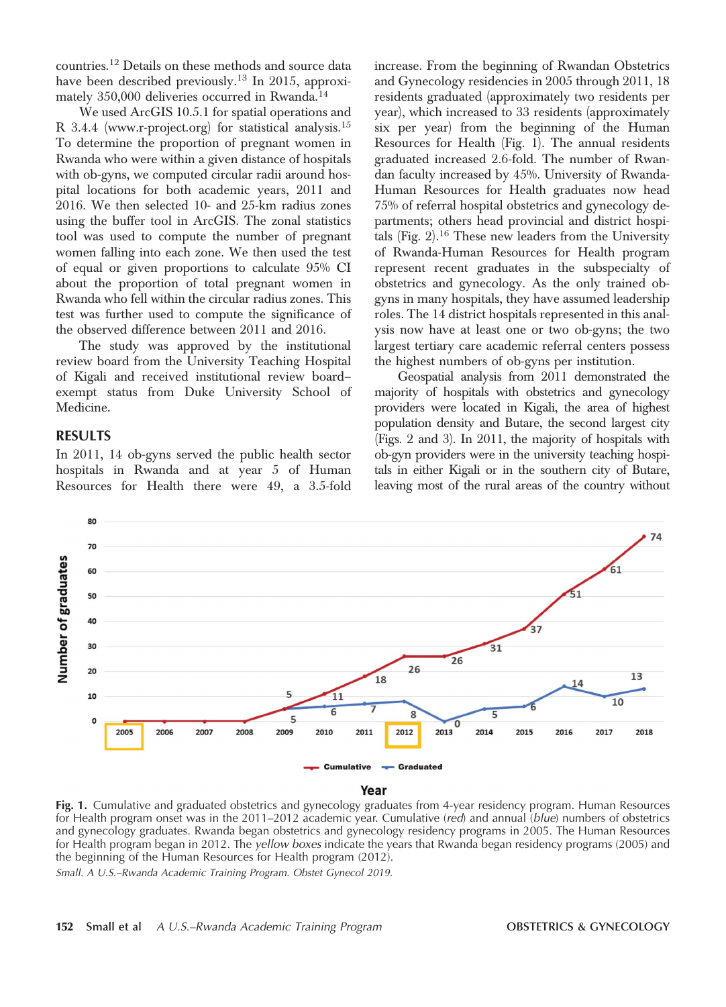countries.<sup>12</sup> Details on these methods and source data have been described previously.<sup>13</sup> In 2015, approximately 350,000 deliveries occurred in Rwanda.<sup>14</sup>

We used ArcGIS 10.5.1 for spatial operations and R 3.4.4 ([www.r-project.org\)](http://www.r-project.org/) for statistical analysis.<sup>15</sup> To determine the proportion of pregnant women in Rwanda who were within a given distance of hospitals with ob-gyns, we computed circular radii around hospital locations for both academic years, 2011 and 2016. We then selected 10- and 25-km radius zones using the buffer tool in ArcGIS. The zonal statistics tool was used to compute the number of pregnant women falling into each zone. We then used the test of equal or given proportions to calculate 95% CI about the proportion of total pregnant women in Rwanda who fell within the circular radius zones. This test was further used to compute the significance of the observed difference between 2011 and 2016.

The study was approved by the institutional review board from the University Teaching Hospital of Kigali and received institutional review board– exempt status from Duke University School of Medicine.

In 2011, 14 ob-gyns served the public health sector hospitals in Rwanda and at year 5 of Human Resources for Health there were 49, a 3.5-fold

increase. From the beginning of Rwandan Obstetrics and Gynecology residencies in 2005 through 2011, 18 residents graduated (approximately two residents per year), which increased to 33 residents (approximately six per year) from the beginning of the Human Resources for Health (Fig. 1). The annual residents graduated increased 2.6-fold. The number of Rwandan faculty increased by 45%. University of Rwanda-Human Resources for Health graduates now head 75% of referral hospital obstetrics and gynecology departments; others head provincial and district hospitals (Fig.  $2$ ).<sup>16</sup> These new leaders from the University of Rwanda-Human Resources for Health program represent recent graduates in the subspecialty of obstetrics and gynecology. As the only trained obgyns in many hospitals, they have assumed leadership roles. The 14 district hospitals represented in this analysis now have at least one or two ob-gyns; the two largest tertiary care academic referral centers possess the highest numbers of ob-gyns per institution.

Geospatial analysis from 2011 demonstrated the majority of hospitals with obstetrics and gynecology providers were located in Kigali, the area of highest population density and Butare, the second largest city (Figs. 2 and 3). In 2011, the majority of hospitals with ob-gyn providers were in the university teaching hospitals in either Kigali or in the southern city of Butare, leaving most of the rural areas of the country without



Fig. 1. Cumulative and graduated obstetrics and gynecology graduates from 4-year residency program. Human Resources for Health program onset was in the 2011–2012 academic year. Cumulative (red) and annual (blue) numbers of obstetrics and gynecology graduates. Rwanda began obstetrics and gynecology residency programs in 2005. The Human Resources for Health program began in 2012. The yellow boxes indicate the years that Rwanda began residency programs (2005) and the beginning of the Human Resources for Health program (2012).

Small. A U.S.–Rwanda Academic Training Program. Obstet Gynecol 2019.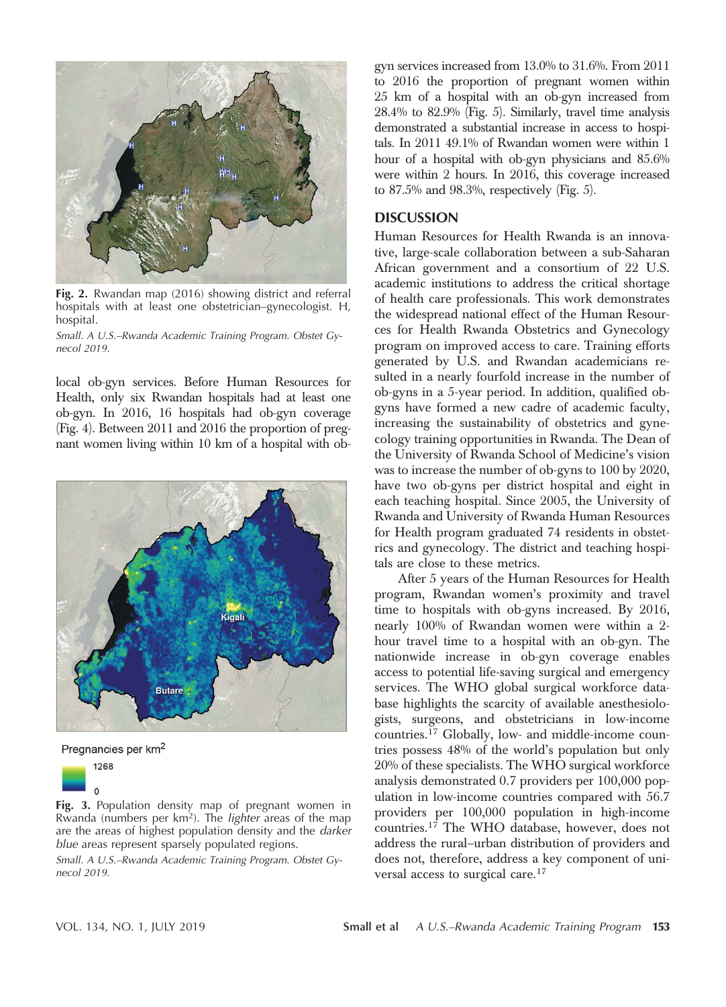

Fig. 2. Rwandan map (2016) showing district and referral hospitals with at least one obstetrician–gynecologist. H, hospital.

Small. A U.S.–Rwanda Academic Training Program. Obstet Gynecol 2019.

local ob-gyn services. Before Human Resources for Health, only six Rwandan hospitals had at least one ob-gyn. In 2016, 16 hospitals had ob-gyn coverage (Fig. 4). Between 2011 and 2016 the proportion of pregnant women living within 10 km of a hospital with ob-



### Pregnancies per km<sup>2</sup>

1268  $\overline{0}$ 

Fig. 3. Population density map of pregnant women in Rwanda (numbers per  $km^2$ ). The *lighter* areas of the map are the areas of highest population density and the *darker* blue areas represent sparsely populated regions.

Small. A U.S.–Rwanda Academic Training Program. Obstet Gynecol 2019.

gyn services increased from 13.0% to 31.6%. From 2011 to 2016 the proportion of pregnant women within 25 km of a hospital with an ob-gyn increased from 28.4% to 82.9% (Fig. 5). Similarly, travel time analysis demonstrated a substantial increase in access to hospitals. In 2011 49.1% of Rwandan women were within 1 hour of a hospital with ob-gyn physicians and 85.6% were within 2 hours. In 2016, this coverage increased to 87.5% and 98.3%, respectively (Fig. 5).

### **DISCUSSION**

DISCUSSION Human Resources for Health Rwanda is an innovative, large-scale collaboration between a sub-Saharan African government and a consortium of 22 U.S. academic institutions to address the critical shortage of health care professionals. This work demonstrates the widespread national effect of the Human Resources for Health Rwanda Obstetrics and Gynecology program on improved access to care. Training efforts generated by U.S. and Rwandan academicians resulted in a nearly fourfold increase in the number of ob-gyns in a 5-year period. In addition, qualified obgyns have formed a new cadre of academic faculty, increasing the sustainability of obstetrics and gynecology training opportunities in Rwanda. The Dean of the University of Rwanda School of Medicine's vision was to increase the number of ob-gyns to 100 by 2020, have two ob-gyns per district hospital and eight in each teaching hospital. Since 2005, the University of Rwanda and University of Rwanda Human Resources for Health program graduated 74 residents in obstetrics and gynecology. The district and teaching hospitals are close to these metrics.

After 5 years of the Human Resources for Health program, Rwandan women's proximity and travel time to hospitals with ob-gyns increased. By 2016, nearly 100% of Rwandan women were within a 2 hour travel time to a hospital with an ob-gyn. The nationwide increase in ob-gyn coverage enables access to potential life-saving surgical and emergency services. The WHO global surgical workforce database highlights the scarcity of available anesthesiologists, surgeons, and obstetricians in low-income countries.<sup>17</sup> Globally, low- and middle-income countries possess 48% of the world's population but only 20% of these specialists. The WHO surgical workforce analysis demonstrated 0.7 providers per 100,000 population in low-income countries compared with 56.7 providers per 100,000 population in high-income countries.<sup>17</sup> The WHO database, however, does not address the rural–urban distribution of providers and does not, therefore, address a key component of universal access to surgical care.<sup>17</sup>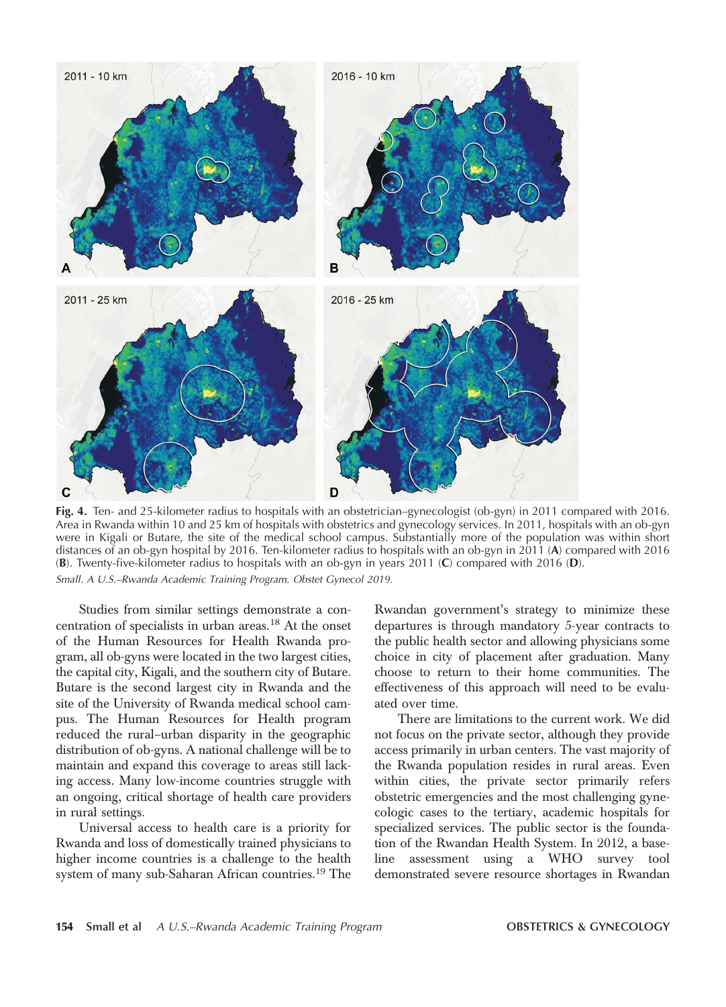

Fig. 4. Ten- and 25-kilometer radius to hospitals with an obstetrician–gynecologist (ob-gyn) in 2011 compared with 2016. Area in Rwanda within 10 and 25 km of hospitals with obstetrics and gynecology services. In 2011, hospitals with an ob-gyn were in Kigali or Butare, the site of the medical school campus. Substantially more of the population was within short distances of an ob-gyn hospital by 2016. Ten-kilometer radius to hospitals with an ob-gyn in 2011 (A) compared with 2016 (B). Twenty-five-kilometer radius to hospitals with an ob-gyn in years 2011 (C) compared with 2016 (D). Small. A U.S.–Rwanda Academic Training Program. Obstet Gynecol 2019.

Studies from similar settings demonstrate a concentration of specialists in urban areas.<sup>18</sup> At the onset of the Human Resources for Health Rwanda program, all ob-gyns were located in the two largest cities, the capital city, Kigali, and the southern city of Butare. Butare is the second largest city in Rwanda and the site of the University of Rwanda medical school campus. The Human Resources for Health program reduced the rural–urban disparity in the geographic distribution of ob-gyns. A national challenge will be to maintain and expand this coverage to areas still lacking access. Many low-income countries struggle with an ongoing, critical shortage of health care providers in rural settings.

Universal access to health care is a priority for Rwanda and loss of domestically trained physicians to higher income countries is a challenge to the health system of many sub-Saharan African countries.<sup>19</sup> The Rwandan government's strategy to minimize these departures is through mandatory 5-year contracts to the public health sector and allowing physicians some choice in city of placement after graduation. Many choose to return to their home communities. The effectiveness of this approach will need to be evaluated over time.

There are limitations to the current work. We did not focus on the private sector, although they provide access primarily in urban centers. The vast majority of the Rwanda population resides in rural areas. Even within cities, the private sector primarily refers obstetric emergencies and the most challenging gynecologic cases to the tertiary, academic hospitals for specialized services. The public sector is the foundation of the Rwandan Health System. In 2012, a baseline assessment using a WHO survey tool demonstrated severe resource shortages in Rwandan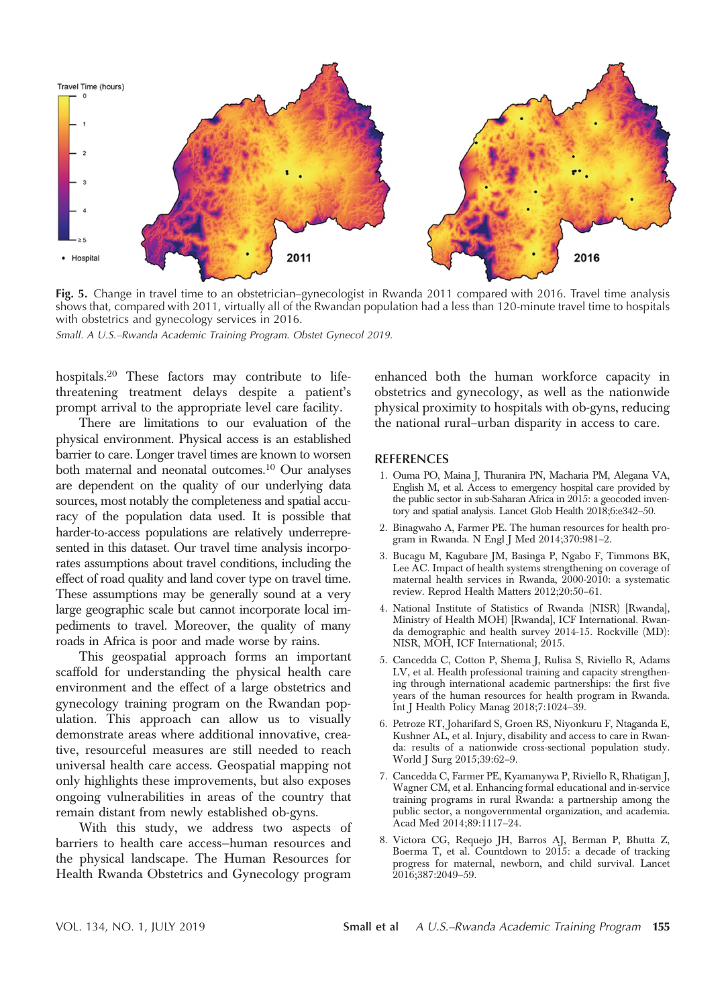

Fig. 5. Change in travel time to an obstetrician–gynecologist in Rwanda 2011 compared with 2016. Travel time analysis shows that, compared with 2011, virtually all of the Rwandan population had a less than 120-minute travel time to hospitals with obstetrics and gynecology services in 2016.

Small. A U.S.–Rwanda Academic Training Program. Obstet Gynecol 2019.

hospitals.<sup>20</sup> These factors may contribute to lifethreatening treatment delays despite a patient's prompt arrival to the appropriate level care facility.

There are limitations to our evaluation of the physical environment. Physical access is an established barrier to care. Longer travel times are known to worsen both maternal and neonatal outcomes.<sup>10</sup> Our analyses are dependent on the quality of our underlying data sources, most notably the completeness and spatial accuracy of the population data used. It is possible that harder-to-access populations are relatively underrepresented in this dataset. Our travel time analysis incorporates assumptions about travel conditions, including the effect of road quality and land cover type on travel time. These assumptions may be generally sound at a very large geographic scale but cannot incorporate local impediments to travel. Moreover, the quality of many roads in Africa is poor and made worse by rains.

This geospatial approach forms an important scaffold for understanding the physical health care environment and the effect of a large obstetrics and gynecology training program on the Rwandan population. This approach can allow us to visually demonstrate areas where additional innovative, creative, resourceful measures are still needed to reach universal health care access. Geospatial mapping not only highlights these improvements, but also exposes ongoing vulnerabilities in areas of the country that remain distant from newly established ob-gyns.

With this study, we address two aspects of barriers to health care access—human resources and the physical landscape. The Human Resources for Health Rwanda Obstetrics and Gynecology program

enhanced both the human workforce capacity in obstetrics and gynecology, as well as the nationwide physical proximity to hospitals with ob-gyns, reducing the national rural–urban disparity in access to care.

#### REFERENCES

- 1. Ouma PO, Maina J, Thuranira PN, Macharia PM, Alegana VA, English M, et al. Access to emergency hospital care provided by the public sector in sub-Saharan Africa in 2015: a geocoded inventory and spatial analysis. Lancet Glob Health 2018;6:e342–50.
- 2. Binagwaho A, Farmer PE. The human resources for health program in Rwanda. N Engl J Med 2014;370:981–2.
- 3. Bucagu M, Kagubare JM, Basinga P, Ngabo F, Timmons BK, Lee AC. Impact of health systems strengthening on coverage of maternal health services in Rwanda, 2000-2010: a systematic review. Reprod Health Matters 2012;20:50–61.
- 4. National Institute of Statistics of Rwanda (NISR) [Rwanda], Ministry of Health MOH) [Rwanda], ICF International. Rwanda demographic and health survey 2014-15. Rockville (MD): NISR, MOH, ICF International; 2015.
- 5. Cancedda C, Cotton P, Shema J, Rulisa S, Riviello R, Adams LV, et al. Health professional training and capacity strengthening through international academic partnerships: the first five years of the human resources for health program in Rwanda. Int J Health Policy Manag 2018;7:1024–39.
- 6. Petroze RT, Joharifard S, Groen RS, Niyonkuru F, Ntaganda E, Kushner AL, et al. Injury, disability and access to care in Rwanda: results of a nationwide cross-sectional population study. World J Surg 2015;39:62–9.
- 7. Cancedda C, Farmer PE, Kyamanywa P, Riviello R, Rhatigan J, Wagner CM, et al. Enhancing formal educational and in-service training programs in rural Rwanda: a partnership among the public sector, a nongovernmental organization, and academia. Acad Med 2014;89:1117–24.
- 8. Victora CG, Requejo JH, Barros AJ, Berman P, Bhutta Z, Boerma T, et al. Countdown to 2015: a decade of tracking progress for maternal, newborn, and child survival. Lancet 2016;387:2049–59.